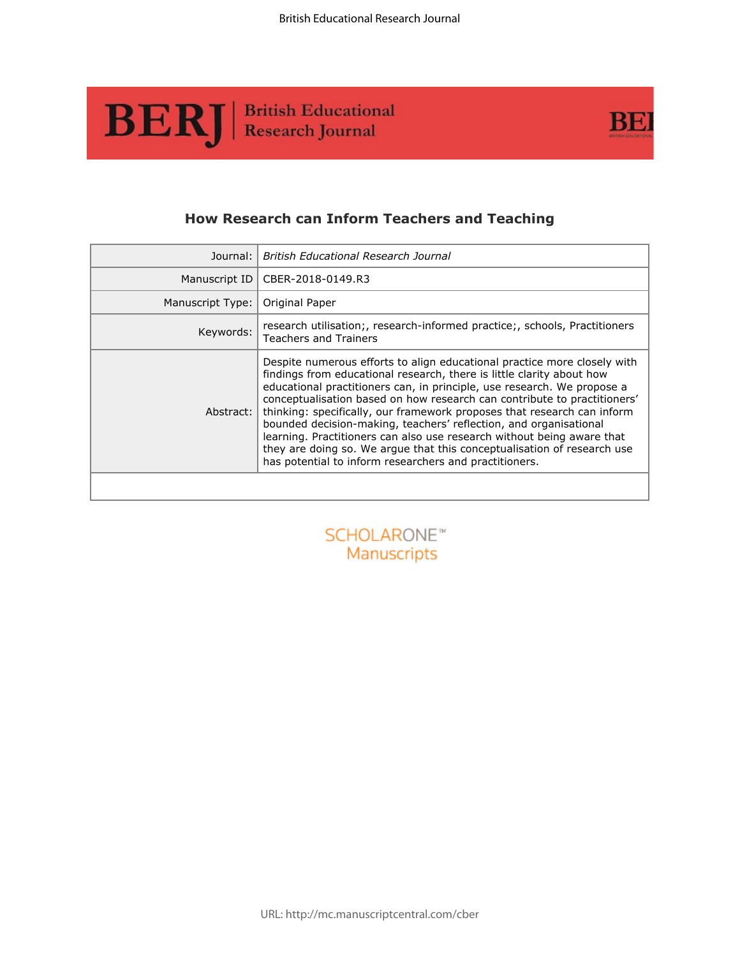# $\mathbf{BERJ}$  Research Journal



# **How Research can Inform Teachers and Teaching**

| Journal:         | British Educational Research Journal                                                                                                                                                                                                                                                                                                                                                                                                                                                                                                                                                                                                                                    |  |
|------------------|-------------------------------------------------------------------------------------------------------------------------------------------------------------------------------------------------------------------------------------------------------------------------------------------------------------------------------------------------------------------------------------------------------------------------------------------------------------------------------------------------------------------------------------------------------------------------------------------------------------------------------------------------------------------------|--|
| Manuscript ID    | CBER-2018-0149.R3                                                                                                                                                                                                                                                                                                                                                                                                                                                                                                                                                                                                                                                       |  |
| Manuscript Type: | Original Paper                                                                                                                                                                                                                                                                                                                                                                                                                                                                                                                                                                                                                                                          |  |
| Keywords:        | research utilisation;, research-informed practice;, schools, Practitioners<br><b>Teachers and Trainers</b>                                                                                                                                                                                                                                                                                                                                                                                                                                                                                                                                                              |  |
| Abstract:        | Despite numerous efforts to align educational practice more closely with<br>findings from educational research, there is little clarity about how<br>educational practitioners can, in principle, use research. We propose a<br>conceptualisation based on how research can contribute to practitioners'<br>thinking: specifically, our framework proposes that research can inform<br>bounded decision-making, teachers' reflection, and organisational<br>learning. Practitioners can also use research without being aware that<br>they are doing so. We argue that this conceptualisation of research use<br>has potential to inform researchers and practitioners. |  |
|                  |                                                                                                                                                                                                                                                                                                                                                                                                                                                                                                                                                                                                                                                                         |  |
|                  | SCHOLARONE <sup>*</sup><br>Manuscripts                                                                                                                                                                                                                                                                                                                                                                                                                                                                                                                                                                                                                                  |  |
|                  |                                                                                                                                                                                                                                                                                                                                                                                                                                                                                                                                                                                                                                                                         |  |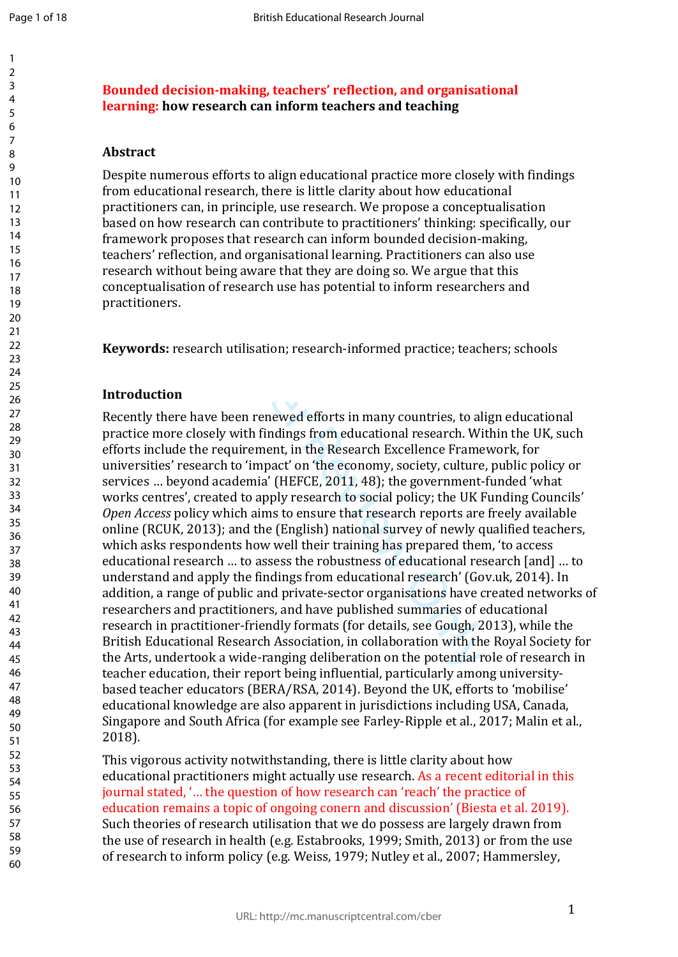$\mathbf{1}$  $\overline{2}$  $\overline{3}$  $\overline{4}$ 5 6  $\overline{7}$ 8 9

**Bounded decision-making, teachers' reflection, and organisational learning: how research can inform teachers and teaching**

#### **Abstract**

Despite numerous efforts to align educational practice more closely with findings from educational research, there is little clarity about how educational practitioners can, in principle, use research. We propose a conceptualisation based on how research can contribute to practitioners' thinking: specifically, our framework proposes that research can inform bounded decision-making, teachers' reflection, and organisational learning. Practitioners can also use research without being aware that they are doing so. We argue that this conceptualisation of research use has potential to inform researchers and practitioners.

**Keywords:** research utilisation; research-informed practice; teachers; schools

#### **Introduction**

out being aware that they are doing so. We argue that<br>ion of research use has potential to inform research<br>search utilisation; research-informed practice; teach<br>cosely with findings from educational research. With the<br>requ Recently there have been renewed efforts in many countries, to align educational practice more closely with findings from educational research. Within the UK, such efforts include the requirement, in the Research Excellence Framework, for universities' research to 'impact' on 'the economy, society, culture, public policy or services … beyond academia' (HEFCE, 2011, 48); the government-funded 'what works centres', created to apply research to social policy; the UK Funding Councils' *Open Access* policy which aims to ensure that research reports are freely available online (RCUK, 2013); and the (English) national survey of newly qualified teachers, which asks respondents how well their training has prepared them, 'to access educational research … to assess the robustness of educational research [and] … to understand and apply the findings from educational research' (Gov.uk, 2014). In addition, a range of public and private-sector organisations have created networks of researchers and practitioners, and have published summaries of educational research in practitioner-friendly formats (for details, see Gough, 2013), while the British Educational Research Association, in collaboration with the Royal Society for the Arts, undertook a wide-ranging deliberation on the potential role of research in teacher education, their report being influential, particularly among universitybased teacher educators (BERA/RSA, 2014). Beyond the UK, efforts to 'mobilise' educational knowledge are also apparent in jurisdictions including USA, Canada, Singapore and South Africa (for example see Farley-Ripple et al., 2017; Malin et al., 2018).

This vigorous activity notwithstanding, there is little clarity about how educational practitioners might actually use research. As a recent editorial in this journal stated, '… the question of how research can 'reach' the practice of education remains a topic of ongoing conern and discussion' (Biesta et al. 2019). Such theories of research utilisation that we do possess are largely drawn from the use of research in health (e.g. Estabrooks, 1999; Smith, 2013) or from the use of research to inform policy (e.g. Weiss, 1979; Nutley et al., 2007; Hammersley,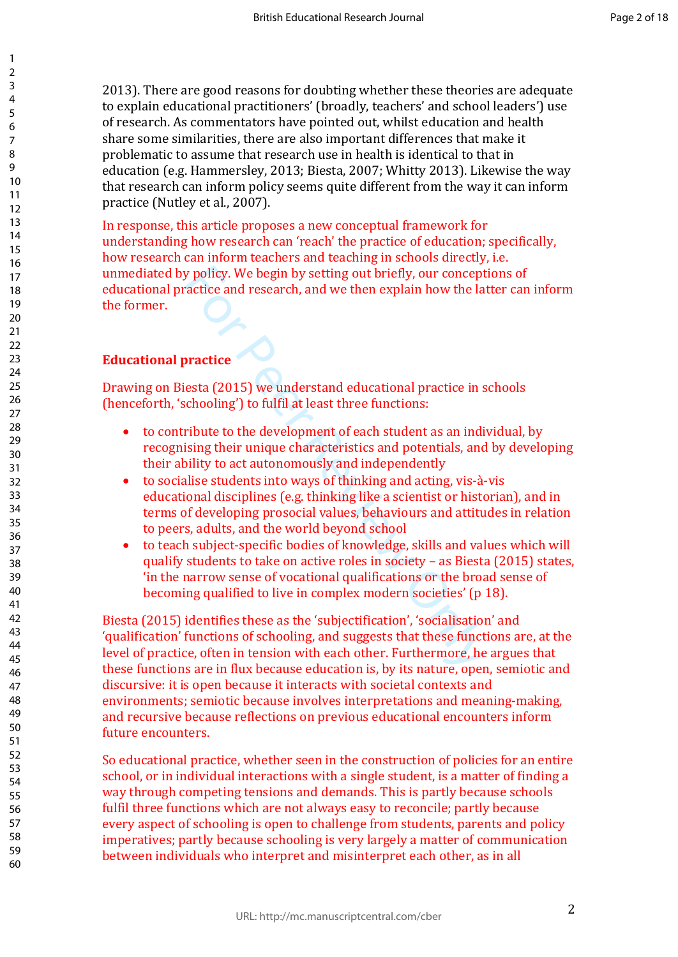2013). There are good reasons for doubting whether these theories are adequate to explain educational practitioners' (broadly, teachers' and school leaders') use of research. As commentators have pointed out, whilst education and health share some similarities, there are also important differences that make it problematic to assume that research use in health is identical to that in education (e.g. Hammersley, 2013; Biesta, 2007; Whitty 2013). Likewise the way that research can inform policy seems quite different from the way it can inform practice (Nutley et al., 2007).

In response, this article proposes a new conceptual framework for understanding how research can 'reach' the practice of education; specifically, how research can inform teachers and teaching in schools directly, i.e. unmediated by policy. We begin by setting out briefly, our conceptions of educational practice and research, and we then explain how the latter can inform the former.

# **Educational practice**

123456789

 $\overline{1}$  $\overline{2}$  $\overline{3}$  $\overline{4}$ 5 6  $\overline{7}$ 8 9

Drawing on Biesta (2015) we understand educational practice in schools (henceforth, 'schooling') to fulfil at least three functions:

- to contribute to the development of each student as an individual, by recognising their unique characteristics and potentials, and by developing their ability to act autonomously and independently
- to socialise students into ways of thinking and acting, vis-à-vis educational disciplines (e.g. thinking like a scientist or historian), and in terms of developing prosocial values, behaviours and attitudes in relation to peers, adults, and the world beyond school
- to teach subject-specific bodies of knowledge, skills and values which will qualify students to take on active roles in society – as Biesta (2015) states, 'in the narrow sense of vocational qualifications or the broad sense of becoming qualified to live in complex modern societies' (p 18).

y policy. We begin by setting out briefly, our concept<br>actice and research, and we then explain how the la<br>actice and research, and we then explain how the la<br>bractice<br>esta (2015) we understand educational practice in s<br>ch Biesta (2015) identifies these as the 'subjectification', 'socialisation' and 'qualification' functions of schooling, and suggests that these functions are, at the level of practice, often in tension with each other. Furthermore, he argues that these functions are in flux because education is, by its nature, open, semiotic and discursive: it is open because it interacts with societal contexts and environments; semiotic because involves interpretations and meaning-making, and recursive because reflections on previous educational encounters inform future encounters.

So educational practice, whether seen in the construction of policies for an entire school, or in individual interactions with a single student, is a matter of finding a way through competing tensions and demands. This is partly because schools fulfil three functions which are not always easy to reconcile; partly because every aspect of schooling is open to challenge from students, parents and policy imperatives; partly because schooling is very largely a matter of communication between individuals who interpret and misinterpret each other, as in all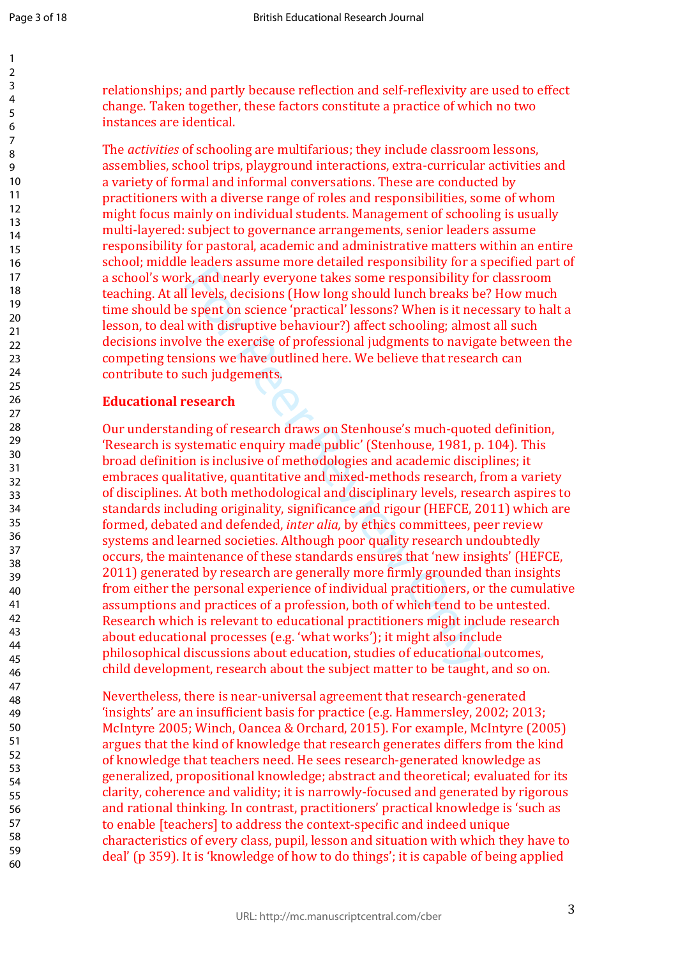relationships; and partly because reflection and self-reflexivity are used to effect change. Taken together, these factors constitute a practice of which no two instances are identical.

The *activities* of schooling are multifarious; they include classroom lessons, assemblies, school trips, playground interactions, extra-curricular activities and a variety of formal and informal conversations. These are conducted by practitioners with a diverse range of roles and responsibilities, some of whom might focus mainly on individual students. Management of schooling is usually multi-layered: subject to governance arrangements, senior leaders assume responsibility for pastoral, academic and administrative matters within an entire school; middle leaders assume more detailed responsibility for a specified part of a school's work, and nearly everyone takes some responsibility for classroom teaching. At all levels, decisions (How long should lunch breaks be? How much time should be spent on science 'practical' lessons? When is it necessary to halt a lesson, to deal with disruptive behaviour?) affect schooling; almost all such decisions involve the exercise of professional judgments to navigate between the competing tensions we have outlined here. We believe that research can contribute to such judgements.

# **Educational research**

For the state of the state of the state of the state of the state of the state of the state of practical (How long should lunch breaks be spent on science 'practical' lessons? When is it nece with disruptive behaviour?) af Our understanding of research draws on Stenhouse's much-quoted definition, 'Research is systematic enquiry made public' (Stenhouse, 1981, p. 104). This broad definition is inclusive of methodologies and academic disciplines; it embraces qualitative, quantitative and mixed-methods research, from a variety of disciplines. At both methodological and disciplinary levels, research aspires to standards including originality, significance and rigour (HEFCE, 2011) which are formed, debated and defended, *inter alia,* by ethics committees, peer review systems and learned societies. Although poor quality research undoubtedly occurs, the maintenance of these standards ensures that 'new insights' (HEFCE, 2011) generated by research are generally more firmly grounded than insights from either the personal experience of individual practitioners, or the cumulative assumptions and practices of a profession, both of which tend to be untested. Research which is relevant to educational practitioners might include research about educational processes (e.g. 'what works'); it might also include philosophical discussions about education, studies of educational outcomes, child development, research about the subject matter to be taught, and so on.

Nevertheless, there is near-universal agreement that research-generated 'insights' are an insufficient basis for practice (e.g. Hammersley, 2002; 2013; McIntyre 2005; Winch, Oancea & Orchard, 2015). For example, McIntyre (2005) argues that the kind of knowledge that research generates differs from the kind of knowledge that teachers need. He sees research-generated knowledge as generalized, propositional knowledge; abstract and theoretical; evaluated for its clarity, coherence and validity; it is narrowly-focused and generated by rigorous and rational thinking. In contrast, practitioners' practical knowledge is 'such as to enable [teachers] to address the context-specific and indeed unique characteristics of every class, pupil, lesson and situation with which they have to deal' (p 359). It is 'knowledge of how to do things'; it is capable of being applied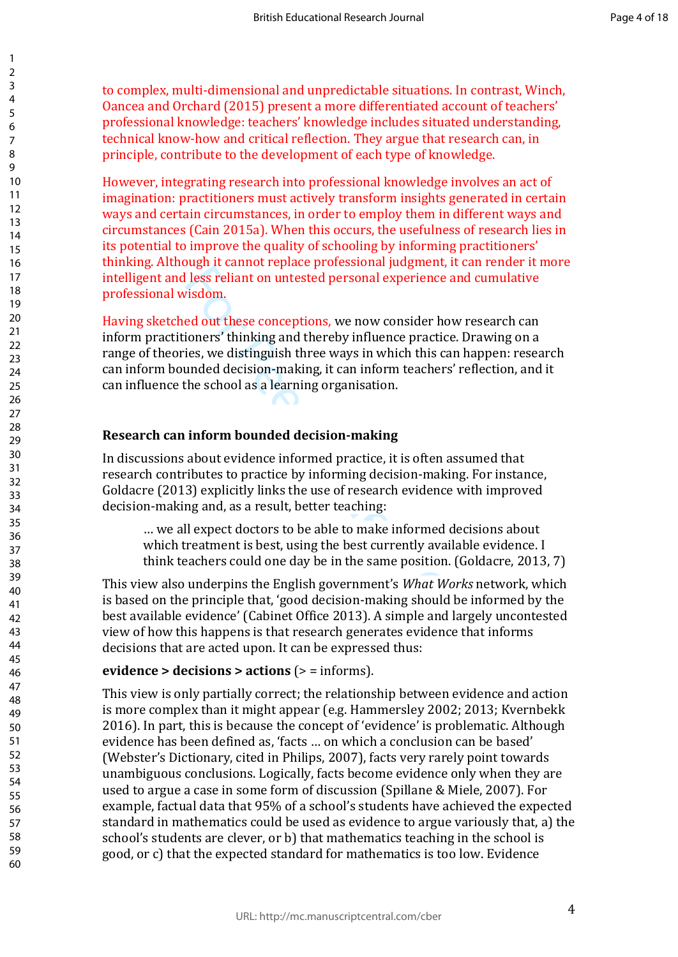to complex, multi-dimensional and unpredictable situations. In contrast, Winch, Oancea and Orchard (2015) present a more differentiated account of teachers' professional knowledge: teachers' knowledge includes situated understanding, technical know-how and critical reflection. They argue that research can, in principle, contribute to the development of each type of knowledge.

However, integrating research into professional knowledge involves an act of imagination: practitioners must actively transform insights generated in certain ways and certain circumstances, in order to employ them in different ways and circumstances (Cain 2015a). When this occurs, the usefulness of research lies in its potential to improve the quality of schooling by informing practitioners' thinking. Although it cannot replace professional judgment, it can render it more intelligent and less reliant on untested personal experience and cumulative professional wisdom.

For Peer Revised Personal experience and culture<br>I less reliant on untested personal experience and cu<br>isdom.<br>
ed out these conceptions, we now consider how rest<br>
ioners' thinking and thereby influence practice. Dravies,<br> Having sketched out these conceptions, we now consider how research can inform practitioners' thinking and thereby influence practice. Drawing on a range of theories, we distinguish three ways in which this can happen: research can inform bounded decision-making, it can inform teachers' reflection, and it can influence the school as a learning organisation.

# **Research can inform bounded decision-making**

123456789

 $\mathbf{1}$  $\overline{2}$  $\overline{3}$  $\overline{4}$ 5 6  $\overline{7}$ 8 9

In discussions about evidence informed practice, it is often assumed that research contributes to practice by informing decision-making. For instance, Goldacre (2013) explicitly links the use of research evidence with improved decision-making and, as a result, better teaching:

… we all expect doctors to be able to make informed decisions about which treatment is best, using the best currently available evidence. I think teachers could one day be in the same position. (Goldacre, 2013, 7)

This view also underpins the English government's *What Works* network, which is based on the principle that, 'good decision-making should be informed by the best available evidence' (Cabinet Office 2013). A simple and largely uncontested view of how this happens is that research generates evidence that informs decisions that are acted upon. It can be expressed thus:

#### **evidence > decisions > actions** (> = informs).

This view is only partially correct; the relationship between evidence and action is more complex than it might appear (e.g. Hammersley 2002; 2013; Kvernbekk 2016). In part, this is because the concept of 'evidence' is problematic. Although evidence has been defined as, 'facts … on which a conclusion can be based' (Webster's Dictionary, cited in Philips, 2007), facts very rarely point towards unambiguous conclusions. Logically, facts become evidence only when they are used to argue a case in some form of discussion (Spillane & Miele, 2007). For example, factual data that 95% of a school's students have achieved the expected standard in mathematics could be used as evidence to argue variously that, a) the school's students are clever, or b) that mathematics teaching in the school is good, or c) that the expected standard for mathematics is too low. Evidence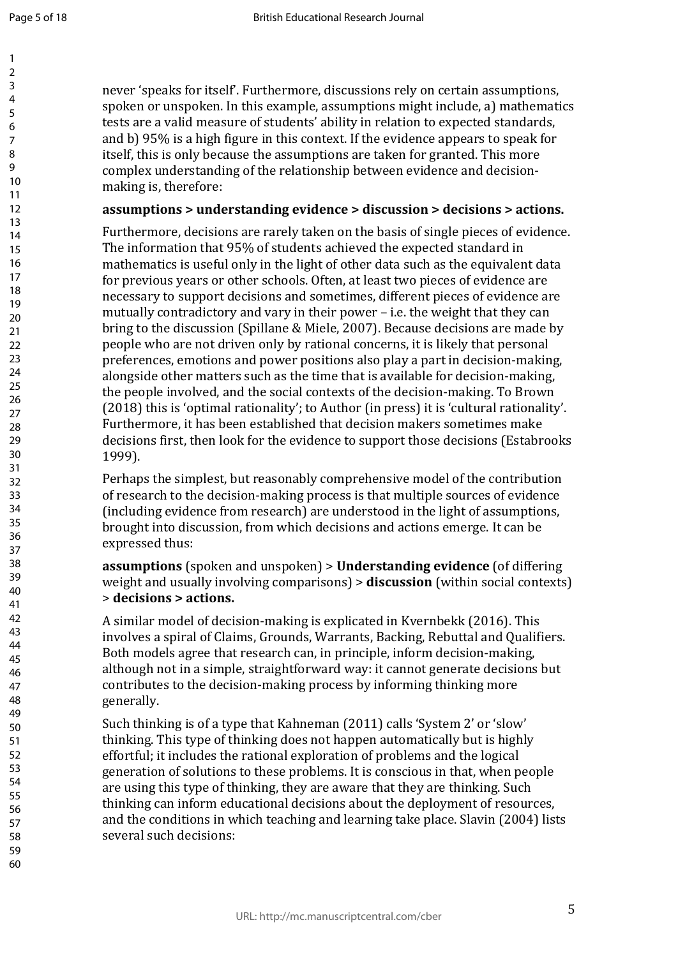never 'speaks for itself'. Furthermore, discussions rely on certain assumptions, spoken or unspoken. In this example, assumptions might include, a) mathematics tests are a valid measure of students' ability in relation to expected standards, and b) 95% is a high figure in this context. If the evidence appears to speak for itself, this is only because the assumptions are taken for granted. This more complex understanding of the relationship between evidence and decisionmaking is, therefore:

# **assumptions > understanding evidence > discussion > decisions > actions.**

s assum only not an guro to oure to aas act as acts are equip<br>cars or other schools. Often, at least two pieces of every upport decisions and sometimes, different pieces of every and vary in their power – i.e. the weight t Furthermore, decisions are rarely taken on the basis of single pieces of evidence. The information that 95% of students achieved the expected standard in mathematics is useful only in the light of other data such as the equivalent data for previous years or other schools. Often, at least two pieces of evidence are necessary to support decisions and sometimes, different pieces of evidence are mutually contradictory and vary in their power – i.e. the weight that they can bring to the discussion (Spillane & Miele, 2007). Because decisions are made by people who are not driven only by rational concerns, it is likely that personal preferences, emotions and power positions also play a part in decision-making, alongside other matters such as the time that is available for decision-making, the people involved, and the social contexts of the decision-making. To Brown (2018) this is 'optimal rationality'; to Author (in press) it is 'cultural rationality'. Furthermore, it has been established that decision makers sometimes make decisions first, then look for the evidence to support those decisions (Estabrooks 1999).

Perhaps the simplest, but reasonably comprehensive model of the contribution of research to the decision-making process is that multiple sources of evidence (including evidence from research) are understood in the light of assumptions, brought into discussion, from which decisions and actions emerge. It can be expressed thus:

**assumptions** (spoken and unspoken) > **Understanding evidence** (of differing weight and usually involving comparisons) > **discussion** (within social contexts) > **decisions > actions.**

A similar model of decision-making is explicated in Kvernbekk (2016). This involves a spiral of Claims, Grounds, Warrants, Backing, Rebuttal and Qualifiers. Both models agree that research can, in principle, inform decision-making, although not in a simple, straightforward way: it cannot generate decisions but contributes to the decision-making process by informing thinking more generally.

Such thinking is of a type that Kahneman (2011) calls 'System 2' or 'slow' thinking. This type of thinking does not happen automatically but is highly effortful; it includes the rational exploration of problems and the logical generation of solutions to these problems. It is conscious in that, when people are using this type of thinking, they are aware that they are thinking. Such thinking can inform educational decisions about the deployment of resources, and the conditions in which teaching and learning take place. Slavin (2004) lists several such decisions: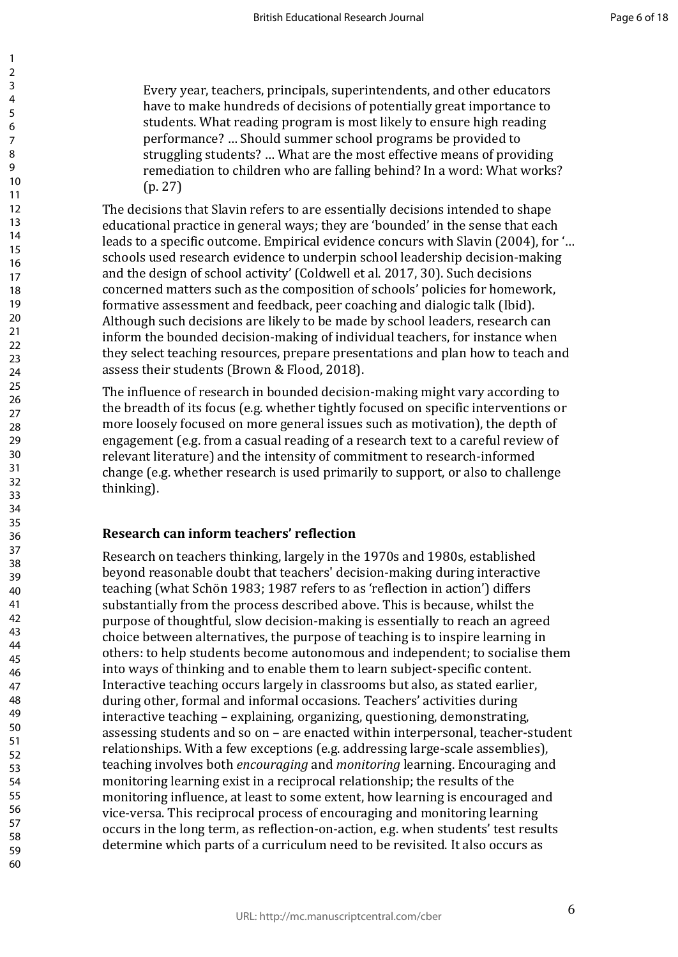Every year, teachers, principals, superintendents, and other educators have to make hundreds of decisions of potentially great importance to students. What reading program is most likely to ensure high reading performance? … Should summer school programs be provided to struggling students? … What are the most effective means of providing remediation to children who are falling behind? In a word: What works? (p. 27)

The decisions that Slavin refers to are essentially decisions intended to shape educational practice in general ways; they are 'bounded' in the sense that each leads to a specific outcome. Empirical evidence concurs with Slavin (2004), for '… schools used research evidence to underpin school leadership decision-making and the design of school activity' (Coldwell et al. 2017, 30). Such decisions concerned matters such as the composition of schools' policies for homework, formative assessment and feedback, peer coaching and dialogic talk (Ibid). Although such decisions are likely to be made by school leaders, research can inform the bounded decision-making of individual teachers, for instance when they select teaching resources, prepare presentations and plan how to teach and assess their students (Brown & Flood, 2018).

The influence of research in bounded decision-making might vary according to the breadth of its focus (e.g. whether tightly focused on specific interventions or more loosely focused on more general issues such as motivation), the depth of engagement (e.g. from a casual reading of a research text to a careful review of relevant literature) and the intensity of commitment to research-informed change (e.g. whether research is used primarily to support, or also to challenge thinking).

# **Research can inform teachers' reflection**

of school activity' (Coldwell et al. 2017, 30). Such deffers such as the composition of schools' policies for<br>sssment and feedback, peer coaching and dialogic tal<br>decisions are likely to be made by school leaders, respacen Research on teachers thinking, largely in the 1970s and 1980s, established beyond reasonable doubt that teachers' decision-making during interactive teaching (what Schön 1983; 1987 refers to as 'reflection in action') differs substantially from the process described above. This is because, whilst the purpose of thoughtful, slow decision-making is essentially to reach an agreed choice between alternatives, the purpose of teaching is to inspire learning in others: to help students become autonomous and independent; to socialise them into ways of thinking and to enable them to learn subject-specific content. Interactive teaching occurs largely in classrooms but also, as stated earlier, during other, formal and informal occasions. Teachers' activities during interactive teaching – explaining, organizing, questioning, demonstrating, assessing students and so on – are enacted within interpersonal, teacher-student relationships. With a few exceptions (e.g. addressing large-scale assemblies), teaching involves both *encouraging* and *monitoring* learning. Encouraging and monitoring learning exist in a reciprocal relationship; the results of the monitoring influence, at least to some extent, how learning is encouraged and vice-versa. This reciprocal process of encouraging and monitoring learning occurs in the long term, as reflection-on-action, e.g. when students' test results determine which parts of a curriculum need to be revisited. It also occurs as

123456789

 $\mathbf{1}$  $\overline{2}$  $\overline{3}$  $\overline{4}$ 5 6  $\overline{7}$ 8 9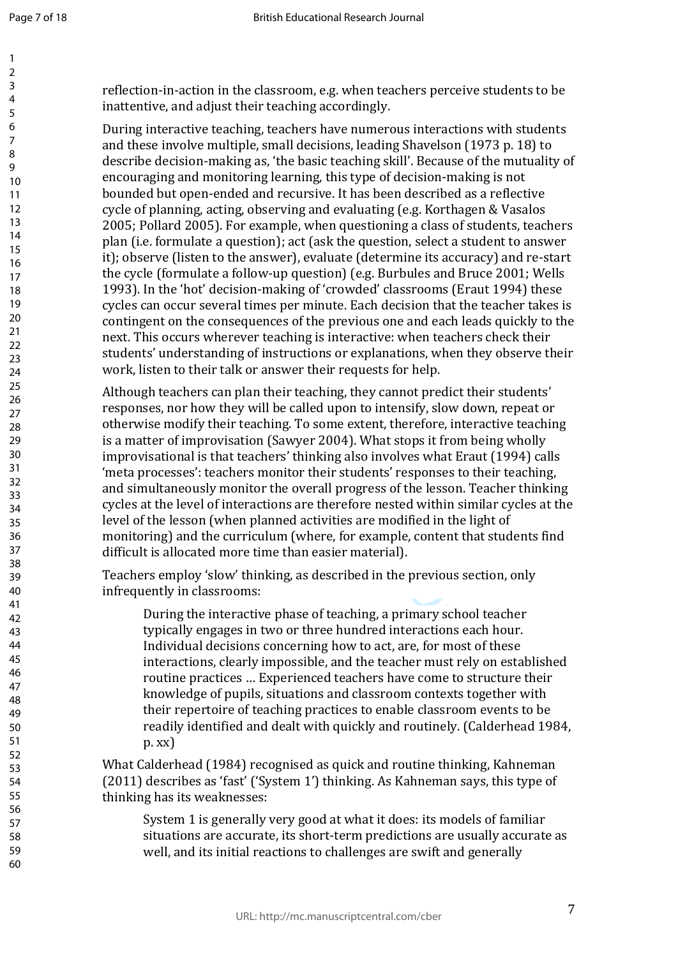$\mathbf{1}$  $\overline{2}$  $\overline{3}$  $\overline{4}$ 5 6  $\overline{7}$ 8 9

reflection-in-action in the classroom, e.g. when teachers perceive students to be inattentive, and adjust their teaching accordingly.

During interactive teaching, teachers have numerous interactions with students and these involve multiple, small decisions, leading Shavelson (1973 p. 18) to describe decision-making as, 'the basic teaching skill'. Because of the mutuality of encouraging and monitoring learning, this type of decision-making is not bounded but open-ended and recursive. It has been described as a reflective cycle of planning, acting, observing and evaluating (e.g. Korthagen & Vasalos 2005; Pollard 2005). For example, when questioning a class of students, teachers plan (i.e. formulate a question); act (ask the question, select a student to answer it); observe (listen to the answer), evaluate (determine its accuracy) and re-start the cycle (formulate a follow-up question) (e.g. Burbules and Bruce 2001; Wells 1993). In the 'hot' decision-making of 'crowded' classrooms (Eraut 1994) these cycles can occur several times per minute. Each decision that the teacher takes is contingent on the consequences of the previous one and each leads quickly to the next. This occurs wherever teaching is interactive: when teachers check their students' understanding of instructions or explanations, when they observe their work, listen to their talk or answer their requests for help.

nulate a follow-up question) (e.g. Burbules and Bruchor' decision-making of 'crowded' classrooms (Erau<br>ur several times per minute. Each decision that the t<br>the consequences of the previous one and each lead<br>the strate<br>tra Although teachers can plan their teaching, they cannot predict their students' responses, nor how they will be called upon to intensify, slow down, repeat or otherwise modify their teaching. To some extent, therefore, interactive teaching is a matter of improvisation (Sawyer 2004). What stops it from being wholly improvisational is that teachers' thinking also involves what Eraut (1994) calls 'meta processes': teachers monitor their students' responses to their teaching, and simultaneously monitor the overall progress of the lesson. Teacher thinking cycles at the level of interactions are therefore nested within similar cycles at the level of the lesson (when planned activities are modified in the light of monitoring) and the curriculum (where, for example, content that students find difficult is allocated more time than easier material).

Teachers employ 'slow' thinking, as described in the previous section, only infrequently in classrooms:

> During the interactive phase of teaching, a primary school teacher typically engages in two or three hundred interactions each hour. Individual decisions concerning how to act, are, for most of these interactions, clearly impossible, and the teacher must rely on established routine practices … Experienced teachers have come to structure their knowledge of pupils, situations and classroom contexts together with their repertoire of teaching practices to enable classroom events to be readily identified and dealt with quickly and routinely. (Calderhead 1984, p. xx)

What Calderhead (1984) recognised as quick and routine thinking, Kahneman (2011) describes as 'fast' ('System 1') thinking. As Kahneman says, this type of thinking has its weaknesses:

System 1 is generally very good at what it does: its models of familiar situations are accurate, its short-term predictions are usually accurate as well, and its initial reactions to challenges are swift and generally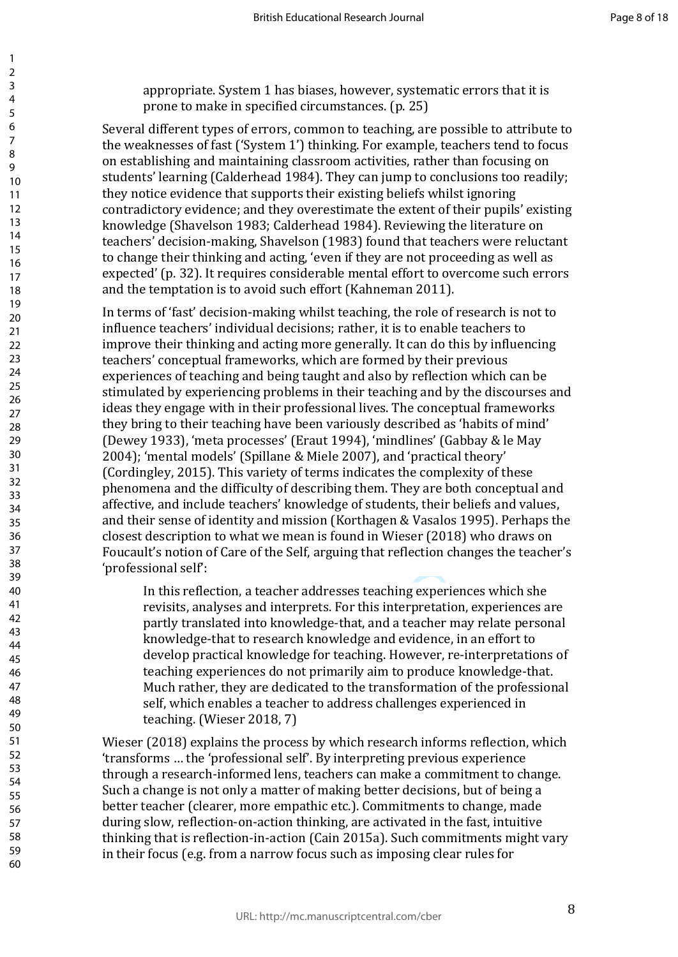appropriate. System 1 has biases, however, systematic errors that it is prone to make in specified circumstances. (p. 25)

123456789

 $\mathbf{1}$  $\overline{2}$  $\overline{3}$  $\overline{4}$ 5 6  $\overline{7}$ 8 9

Several different types of errors, common to teaching, are possible to attribute to the weaknesses of fast ('System 1') thinking. For example, teachers tend to focus on establishing and maintaining classroom activities, rather than focusing on students' learning (Calderhead 1984). They can jump to conclusions too readily; they notice evidence that supports their existing beliefs whilst ignoring contradictory evidence; and they overestimate the extent of their pupils' existing knowledge (Shavelson 1983; Calderhead 1984). Reviewing the literature on teachers' decision-making, Shavelson (1983) found that teachers were reluctant to change their thinking and acting, 'even if they are not proceeding as well as expected' (p. 32). It requires considerable mental effort to overcome such errors and the temptation is to avoid such effort (Kahneman 2011).

i2). It requires considerable mental effort to overcor<br>ation is to avoid such effort (Kahneman 2011).<br>st' decision-making whilst teaching, the role of resea<br>hers' individual decisions; rather, it is to enable teac<br>thinking In terms of 'fast' decision-making whilst teaching, the role of research is not to influence teachers' individual decisions; rather, it is to enable teachers to improve their thinking and acting more generally. It can do this by influencing teachers' conceptual frameworks, which are formed by their previous experiences of teaching and being taught and also by reflection which can be stimulated by experiencing problems in their teaching and by the discourses and ideas they engage with in their professional lives. The conceptual frameworks they bring to their teaching have been variously described as 'habits of mind' (Dewey 1933), 'meta processes' (Eraut 1994), 'mindlines' (Gabbay & le May 2004); 'mental models' (Spillane & Miele 2007), and 'practical theory' (Cordingley, 2015). This variety of terms indicates the complexity of these phenomena and the difficulty of describing them. They are both conceptual and affective, and include teachers' knowledge of students, their beliefs and values, and their sense of identity and mission (Korthagen & Vasalos 1995). Perhaps the closest description to what we mean is found in Wieser (2018) who draws on Foucault's notion of Care of the Self, arguing that reflection changes the teacher's 'professional self':

In this reflection, a teacher addresses teaching experiences which she revisits, analyses and interprets. For this interpretation, experiences are partly translated into knowledge-that, and a teacher may relate personal knowledge-that to research knowledge and evidence, in an effort to develop practical knowledge for teaching. However, re-interpretations of teaching experiences do not primarily aim to produce knowledge-that. Much rather, they are dedicated to the transformation of the professional self, which enables a teacher to address challenges experienced in teaching. (Wieser 2018, 7)

Wieser (2018) explains the process by which research informs reflection, which 'transforms … the 'professional self'. By interpreting previous experience through a research-informed lens, teachers can make a commitment to change. Such a change is not only a matter of making better decisions, but of being a better teacher (clearer, more empathic etc.). Commitments to change, made during slow, reflection-on-action thinking, are activated in the fast, intuitive thinking that is reflection-in-action (Cain 2015a). Such commitments might vary in their focus (e.g. from a narrow focus such as imposing clear rules for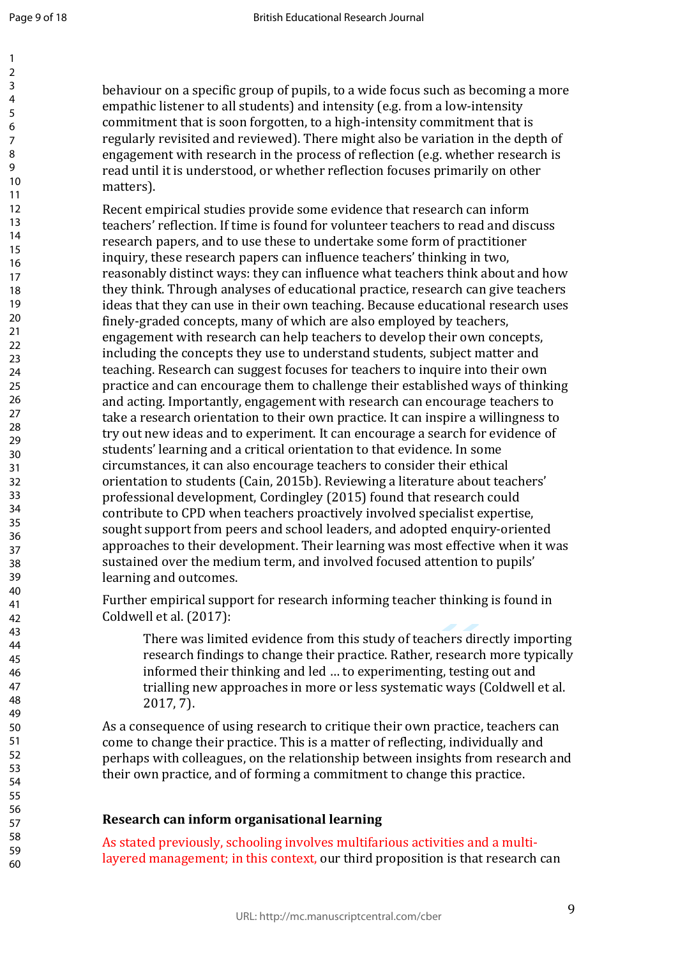$\mathbf{1}$  $\overline{2}$  $\overline{3}$ 

60

behaviour on a specific group of pupils, to a wide focus such as becoming a more empathic listener to all students) and intensity (e.g. from a low-intensity commitment that is soon forgotten, to a high-intensity commitment that is regularly revisited and reviewed). There might also be variation in the depth of engagement with research in the process of reflection (e.g. whether research is read until it is understood, or whether reflection focuses primarily on other matters).

tinct ways: they can influence what teachers think a<br>rough analyses of educational practice, research can<br>can use in their own teaching. Because educational<br>concepts, many of which are also employed by teach<br>tith research Recent empirical studies provide some evidence that research can inform teachers' reflection. If time is found for volunteer teachers to read and discuss research papers, and to use these to undertake some form of practitioner inquiry, these research papers can influence teachers' thinking in two, reasonably distinct ways: they can influence what teachers think about and how they think. Through analyses of educational practice, research can give teachers ideas that they can use in their own teaching. Because educational research uses finely-graded concepts, many of which are also employed by teachers, engagement with research can help teachers to develop their own concepts, including the concepts they use to understand students, subject matter and teaching. Research can suggest focuses for teachers to inquire into their own practice and can encourage them to challenge their established ways of thinking and acting. Importantly, engagement with research can encourage teachers to take a research orientation to their own practice. It can inspire a willingness to try out new ideas and to experiment. It can encourage a search for evidence of students' learning and a critical orientation to that evidence. In some circumstances, it can also encourage teachers to consider their ethical orientation to students (Cain, 2015b). Reviewing a literature about teachers' professional development, Cordingley (2015) found that research could contribute to CPD when teachers proactively involved specialist expertise, sought support from peers and school leaders, and adopted enquiry-oriented approaches to their development. Their learning was most effective when it was sustained over the medium term, and involved focused attention to pupils' learning and outcomes.

Further empirical support for research informing teacher thinking is found in Coldwell et al. (2017):

There was limited evidence from this study of teachers directly importing research findings to change their practice. Rather, research more typically informed their thinking and led … to experimenting, testing out and trialling new approaches in more or less systematic ways (Coldwell et al. 2017, 7).

As a consequence of using research to critique their own practice, teachers can come to change their practice. This is a matter of reflecting, individually and perhaps with colleagues, on the relationship between insights from research and their own practice, and of forming a commitment to change this practice.

# **Research can inform organisational learning**

As stated previously, schooling involves multifarious activities and a multilayered management; in this context, our third proposition is that research can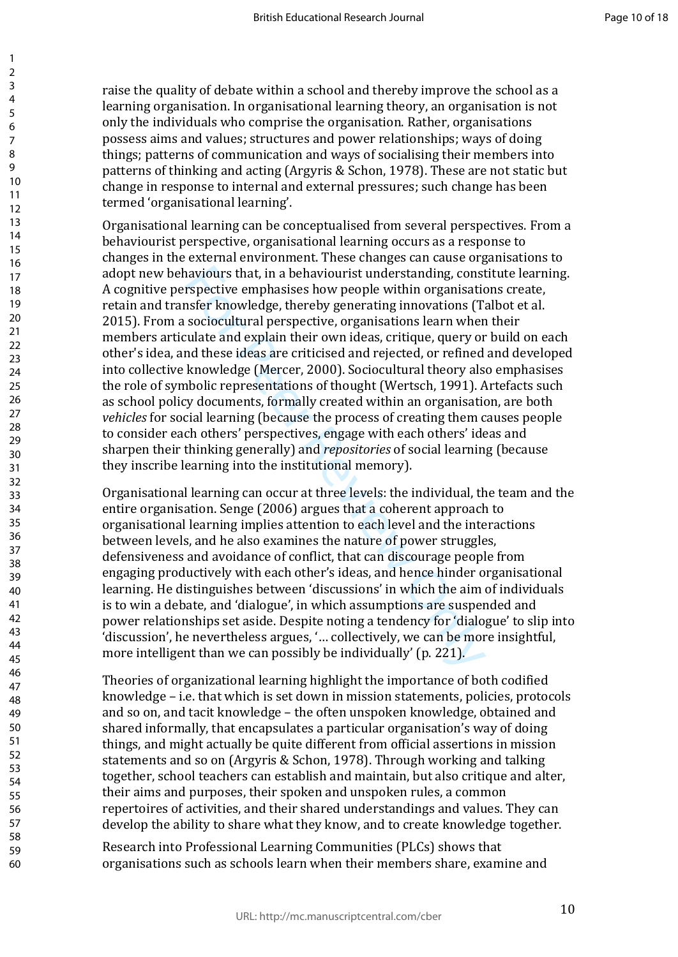raise the quality of debate within a school and thereby improve the school as a learning organisation. In organisational learning theory, an organisation is not only the individuals who comprise the organisation. Rather, organisations possess aims and values; structures and power relationships; ways of doing things; patterns of communication and ways of socialising their members into patterns of thinking and acting (Argyris & Schon, 1978). These are not static but change in response to internal and external pressures; such change has been termed 'organisational learning'.

123456789

 $\mathbf{1}$  $\overline{2}$  $\overline{3}$  $\overline{4}$ 5 6  $\overline{7}$ 8 9

naviours that, in a behaviourist understanding, const<br>rspective emphasises how people within organisatic<br>sfer knowledge, thereby generating innovations (Ti<br>sociocultural perspective, organisations learn when<br>ulate and expl Organisational learning can be conceptualised from several perspectives. From a behaviourist perspective, organisational learning occurs as a response to changes in the external environment. These changes can cause organisations to adopt new behaviours that, in a behaviourist understanding, constitute learning. A cognitive perspective emphasises how people within organisations create, retain and transfer knowledge, thereby generating innovations (Talbot et al. 2015). From a sociocultural perspective, organisations learn when their members articulate and explain their own ideas, critique, query or build on each other's idea, and these ideas are criticised and rejected, or refined and developed into collective knowledge (Mercer, 2000). Sociocultural theory also emphasises the role of symbolic representations of thought (Wertsch, 1991). Artefacts such as school policy documents, formally created within an organisation, are both *vehicles* for social learning (because the process of creating them causes people to consider each others' perspectives, engage with each others' ideas and sharpen their thinking generally) and *repositories* of social learning (because they inscribe learning into the institutional memory).

Organisational learning can occur at three levels: the individual, the team and the entire organisation. Senge (2006) argues that a coherent approach to organisational learning implies attention to each level and the interactions between levels, and he also examines the nature of power struggles, defensiveness and avoidance of conflict, that can discourage people from engaging productively with each other's ideas, and hence hinder organisational learning. He distinguishes between 'discussions' in which the aim of individuals is to win a debate, and 'dialogue', in which assumptions are suspended and power relationships set aside. Despite noting a tendency for 'dialogue' to slip into 'discussion', he nevertheless argues, '… collectively, we can be more insightful, more intelligent than we can possibly be individually' (p. 221).

Theories of organizational learning highlight the importance of both codified knowledge – i.e. that which is set down in mission statements, policies, protocols and so on, and tacit knowledge – the often unspoken knowledge, obtained and shared informally, that encapsulates a particular organisation's way of doing things, and might actually be quite different from official assertions in mission statements and so on (Argyris & Schon, 1978). Through working and talking together, school teachers can establish and maintain, but also critique and alter, their aims and purposes, their spoken and unspoken rules, a common repertoires of activities, and their shared understandings and values. They can develop the ability to share what they know, and to create knowledge together.

Research into Professional Learning Communities (PLCs) shows that organisations such as schools learn when their members share, examine and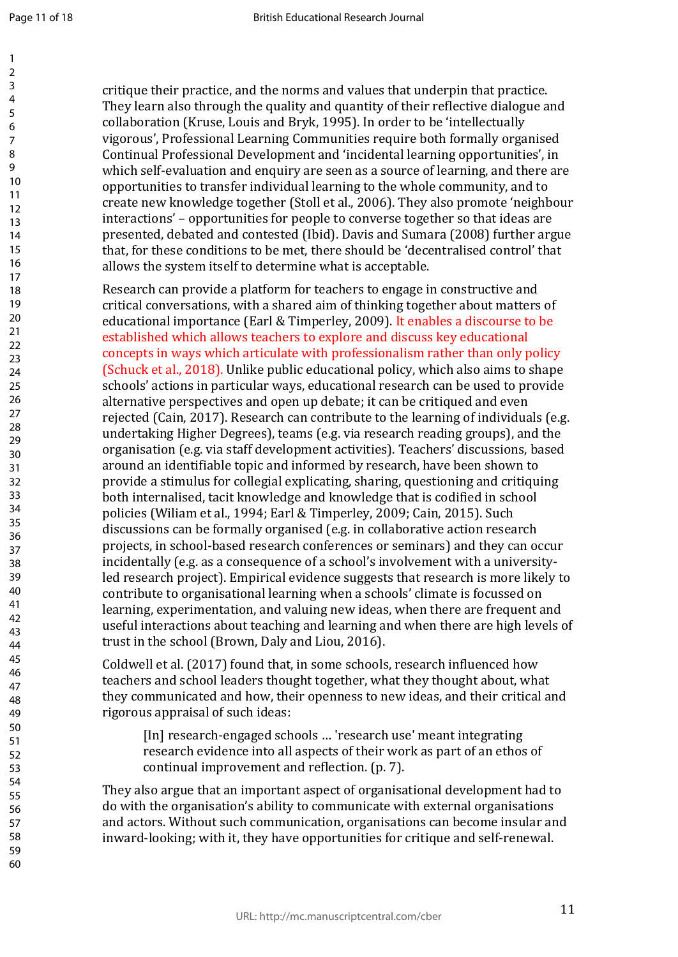$\mathbf{1}$  $\overline{2}$  $\overline{3}$  $\overline{4}$ 

critique their practice, and the norms and values that underpin that practice. They learn also through the quality and quantity of their reflective dialogue and collaboration (Kruse, Louis and Bryk, 1995). In order to be 'intellectually vigorous', Professional Learning Communities require both formally organised Continual Professional Development and 'incidental learning opportunities', in which self-evaluation and enquiry are seen as a source of learning, and there are opportunities to transfer individual learning to the whole community, and to create new knowledge together (Stoll et al., 2006). They also promote 'neighbour interactions' – opportunities for people to converse together so that ideas are presented, debated and contested (Ibid). Davis and Sumara (2008) further argue that, for these conditions to be met, there should be 'decentralised control' that allows the system itself to determine what is acceptable.

tem itself to determine what is acceptable.<br>
Stations, with a shared aim of thinking together about stations, with a shared aim of thinking together about<br>
prortance (Earl & Timperley, 2009). It enables a discousing the<br>
n Research can provide a platform for teachers to engage in constructive and critical conversations, with a shared aim of thinking together about matters of educational importance (Earl & Timperley, 2009). It enables a discourse to be established which allows teachers to explore and discuss key educational concepts in ways which articulate with professionalism rather than only policy (Schuck et al., 2018). Unlike public educational policy, which also aims to shape schools' actions in particular ways, educational research can be used to provide alternative perspectives and open up debate; it can be critiqued and even rejected (Cain, 2017). Research can contribute to the learning of individuals (e.g. undertaking Higher Degrees), teams (e.g. via research reading groups), and the organisation (e.g. via staff development activities). Teachers' discussions, based around an identifiable topic and informed by research, have been shown to provide a stimulus for collegial explicating, sharing, questioning and critiquing both internalised, tacit knowledge and knowledge that is codified in school policies (Wiliam et al., 1994; Earl & Timperley, 2009; Cain, 2015). Such discussions can be formally organised (e.g. in collaborative action research projects, in school-based research conferences or seminars) and they can occur incidentally (e.g. as a consequence of a school's involvement with a universityled research project). Empirical evidence suggests that research is more likely to contribute to organisational learning when a schools' climate is focussed on learning, experimentation, and valuing new ideas, when there are frequent and useful interactions about teaching and learning and when there are high levels of trust in the school (Brown, Daly and Liou, 2016).

Coldwell et al. (2017) found that, in some schools, research influenced how teachers and school leaders thought together, what they thought about, what they communicated and how, their openness to new ideas, and their critical and rigorous appraisal of such ideas:

[In] research-engaged schools … 'research use' meant integrating research evidence into all aspects of their work as part of an ethos of continual improvement and reflection. (p. 7).

They also argue that an important aspect of organisational development had to do with the organisation's ability to communicate with external organisations and actors. Without such communication, organisations can become insular and inward-looking; with it, they have opportunities for critique and self-renewal.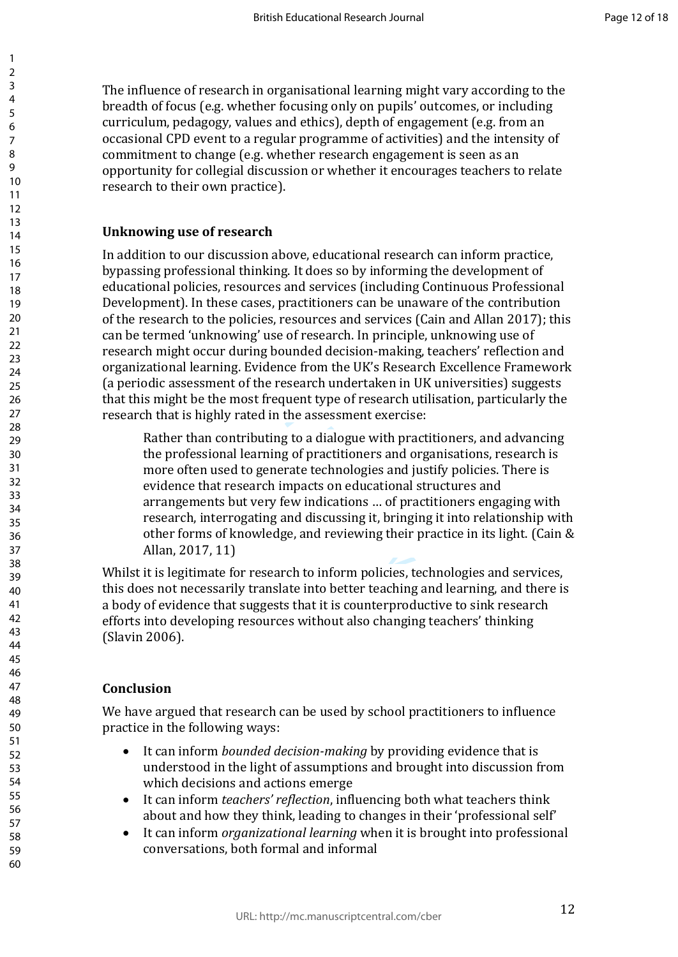The influence of research in organisational learning might vary according to the breadth of focus (e.g. whether focusing only on pupils' outcomes, or including curriculum, pedagogy, values and ethics), depth of engagement (e.g. from an occasional CPD event to a regular programme of activities) and the intensity of commitment to change (e.g. whether research engagement is seen as an opportunity for collegial discussion or whether it encourages teachers to relate research to their own practice).

# **Unknowing use of research**

fessional thinking. It does so by informing the develucies, resources and services (including Continuous.<br>
In these cases, practitioners can be unaware of the policies, resources and services (Cain and Al<br>
'unknowing' use In addition to our discussion above, educational research can inform practice, bypassing professional thinking. It does so by informing the development of educational policies, resources and services (including Continuous Professional Development). In these cases, practitioners can be unaware of the contribution of the research to the policies, resources and services (Cain and Allan 2017); this can be termed 'unknowing' use of research. In principle, unknowing use of research might occur during bounded decision-making, teachers' reflection and organizational learning. Evidence from the UK's Research Excellence Framework (a periodic assessment of the research undertaken in UK universities) suggests that this might be the most frequent type of research utilisation, particularly the research that is highly rated in the assessment exercise:

Rather than contributing to a dialogue with practitioners, and advancing the professional learning of practitioners and organisations, research is more often used to generate technologies and justify policies. There is evidence that research impacts on educational structures and arrangements but very few indications … of practitioners engaging with research, interrogating and discussing it, bringing it into relationship with other forms of knowledge, and reviewing their practice in its light. (Cain & Allan, 2017, 11)

Whilst it is legitimate for research to inform policies, technologies and services, this does not necessarily translate into better teaching and learning, and there is a body of evidence that suggests that it is counterproductive to sink research efforts into developing resources without also changing teachers' thinking (Slavin 2006).

#### **Conclusion**

We have argued that research can be used by school practitioners to influence practice in the following ways:

- It can inform *bounded decision-making* by providing evidence that is understood in the light of assumptions and brought into discussion from which decisions and actions emerge
- It can inform *teachers' reflection*, influencing both what teachers think about and how they think, leading to changes in their 'professional self'
- It can inform *organizational learning* when it is brought into professional conversations, both formal and informal

URL: http://mc.manuscriptcentral.com/cber

123456789

 $\mathbf{1}$  $\overline{2}$  $\overline{3}$  $\overline{4}$ 5 6  $\overline{7}$ 8 9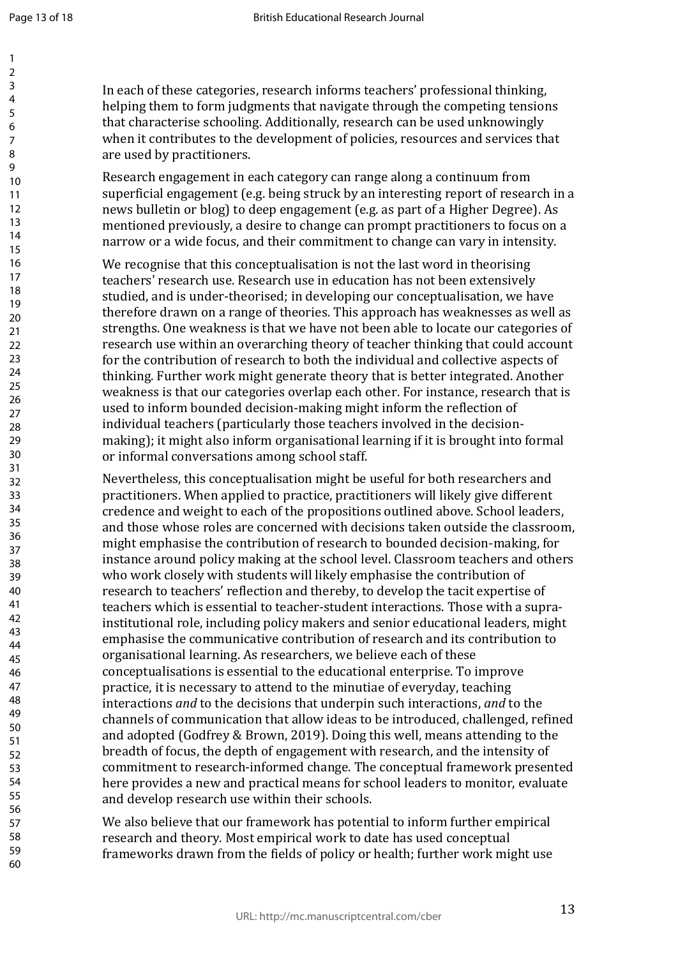$\mathbf{1}$  $\overline{2}$  $\overline{3}$ 

In each of these categories, research informs teachers' professional thinking, helping them to form judgments that navigate through the competing tensions that characterise schooling. Additionally, research can be used unknowingly when it contributes to the development of policies, resources and services that are used by practitioners.

Research engagement in each category can range along a continuum from superficial engagement (e.g. being struck by an interesting report of research in a news bulletin or blog) to deep engagement (e.g. as part of a Higher Degree). As mentioned previously, a desire to change can prompt practitioners to focus on a narrow or a wide focus, and their commitment to change can vary in intensity.

We recognise that this conceptualisation is not the last word in theorising teachers' research use. Research use in education has not been extensively studied, and is under-theorised; in developing our conceptualisation, we have therefore drawn on a range of theories. This approach has weaknesses as well as strengths. One weakness is that we have not been able to locate our categories of research use within an overarching theory of teacher thinking that could account for the contribution of research to both the individual and collective aspects of thinking. Further work might generate theory that is better integrated. Another weakness is that our categories overlap each other. For instance, research that is used to inform bounded decision-making might inform the reflection of individual teachers (particularly those teachers involved in the decisionmaking); it might also inform organisational learning if it is brought into formal or informal conversations among school staff.

mate this conceptualisation is not the last word in the fast word in<br>tarch use. Research use in education has not been ext<br>under-theorised; in developing our conceptualisation<br>on a range of theories. This approach has weak Nevertheless, this conceptualisation might be useful for both researchers and practitioners. When applied to practice, practitioners will likely give different credence and weight to each of the propositions outlined above. School leaders, and those whose roles are concerned with decisions taken outside the classroom, might emphasise the contribution of research to bounded decision-making, for instance around policy making at the school level. Classroom teachers and others who work closely with students will likely emphasise the contribution of research to teachers' reflection and thereby, to develop the tacit expertise of teachers which is essential to teacher-student interactions. Those with a suprainstitutional role, including policy makers and senior educational leaders, might emphasise the communicative contribution of research and its contribution to organisational learning. As researchers, we believe each of these conceptualisations is essential to the educational enterprise. To improve practice, it is necessary to attend to the minutiae of everyday, teaching interactions *and* to the decisions that underpin such interactions, *and* to the channels of communication that allow ideas to be introduced, challenged, refined and adopted (Godfrey & Brown, 2019). Doing this well, means attending to the breadth of focus, the depth of engagement with research, and the intensity of commitment to research-informed change. The conceptual framework presented here provides a new and practical means for school leaders to monitor, evaluate and develop research use within their schools.

We also believe that our framework has potential to inform further empirical research and theory. Most empirical work to date has used conceptual frameworks drawn from the fields of policy or health; further work might use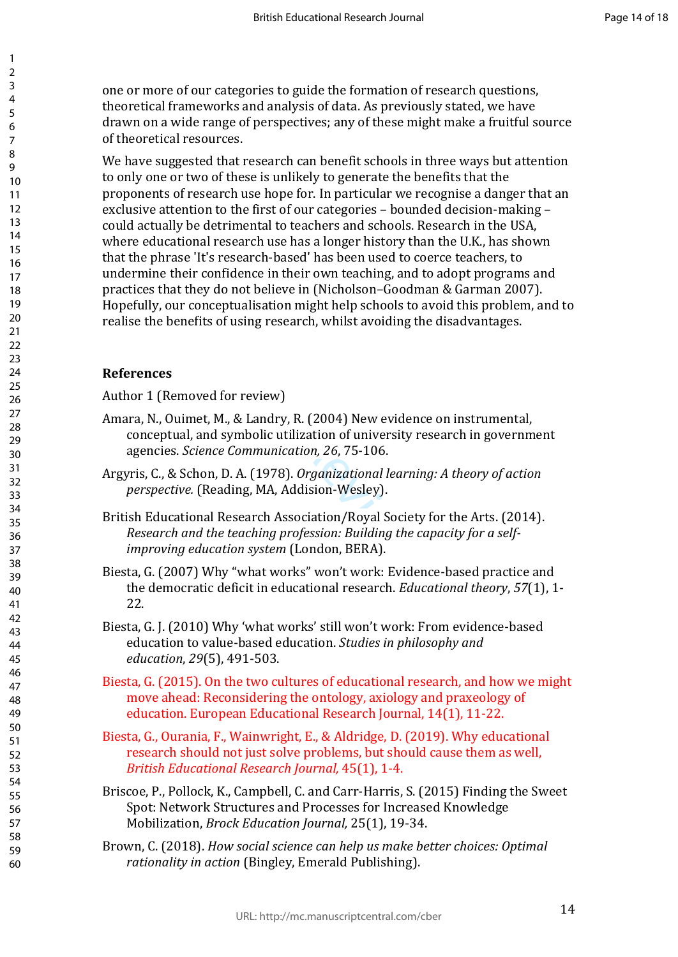one or more of our categories to guide the formation of research questions, theoretical frameworks and analysis of data. As previously stated, we have drawn on a wide range of perspectives; any of these might make a fruitful source of theoretical resources.

eir confidence in their own teaching, and to adopt pr<br>they do not believe in (Nicholson-Goodman & Garm<br>conceptualisation might help schools to avoid this p<br>efits of using research, whilst avoiding the disadvan<br>met, M., & L We have suggested that research can benefit schools in three ways but attention to only one or two of these is unlikely to generate the benefits that the proponents of research use hope for. In particular we recognise a danger that an exclusive attention to the first of our categories – bounded decision-making – could actually be detrimental to teachers and schools. Research in the USA, where educational research use has a longer history than the U.K., has shown that the phrase 'It's research-based' has been used to coerce teachers, to undermine their confidence in their own teaching, and to adopt programs and practices that they do not believe in (Nicholson–Goodman & Garman 2007). Hopefully, our conceptualisation might help schools to avoid this problem, and to realise the benefits of using research, whilst avoiding the disadvantages.

### **References**

123456789

 $\mathbf{1}$  $\overline{2}$  $\overline{3}$  $\overline{4}$ 5 6  $\overline{7}$ 8 9

Author 1 (Removed for review)

- Amara, N., Ouimet, M., & Landry, R. (2004) New evidence on instrumental, conceptual, and symbolic utilization of university research in government agencies. *Science Communication, 26*, 75-106.
- Argyris, C., & Schon, D. A. (1978). *Organizational learning: A theory of action perspective.* (Reading, MA, Addision-Wesley).
- British Educational Research Association/Royal Society for the Arts. (2014). *Research and the teaching profession: Building the capacity for a selfimproving education system* (London, BERA).
- Biesta, G. (2007) Why "what works" won't work: Evidence-based practice and the democratic deficit in educational research. *Educational theory*, *57*(1), 1- 22.
- Biesta, G. J. (2010) Why 'what works' still won't work: From evidence-based education to value-based education. *Studies in philosophy and education*, *29*(5), 491-503.
- Biesta, G. (2015). On the two cultures of educational research, and how we might move ahead: Reconsidering the ontology, axiology and praxeology of education. European Educational Research Journal, 14(1), 11-22.
- Biesta, G., Ourania, F., Wainwright, E., & Aldridge, D. (2019). Why educational research should not just solve problems, but should cause them as well, *British Educational Research Journal,* 45(1), 1-4.
- Briscoe, P., Pollock, K., Campbell, C. and Carr-Harris, S. (2015) Finding the Sweet Spot: Network Structures and Processes for Increased Knowledge Mobilization, *Brock Education Journal,* 25(1), 19-34.
- Brown, C. (2018). *How social science can help us make better choices: Optimal rationality in action* (Bingley, Emerald Publishing).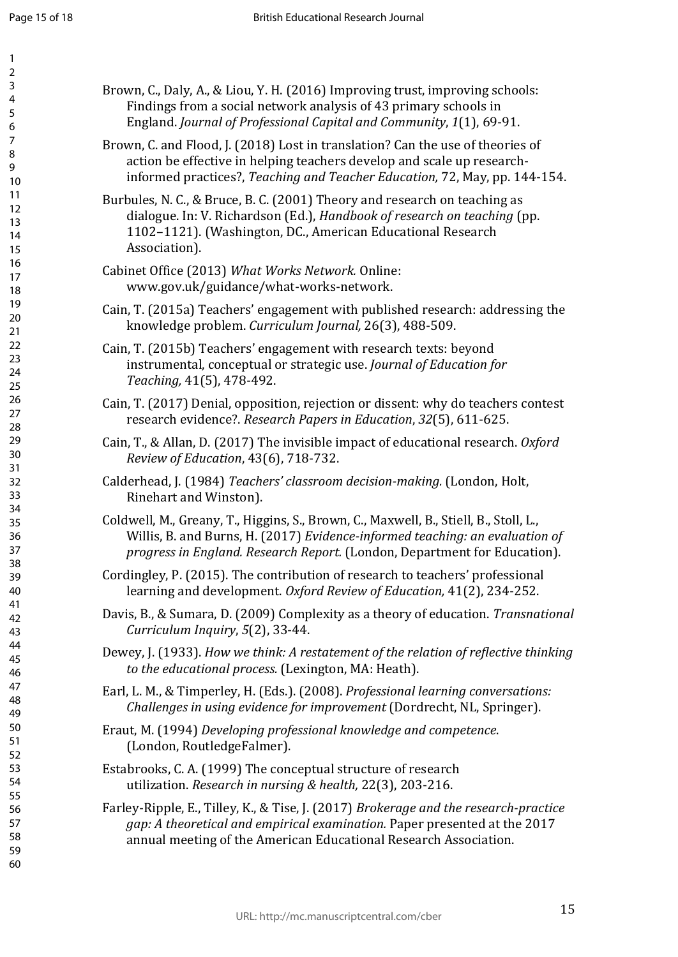| 1<br>2                     |                                                                                                                                                                                                                                                    |
|----------------------------|----------------------------------------------------------------------------------------------------------------------------------------------------------------------------------------------------------------------------------------------------|
| 3<br>4<br>5<br>6           | Brown, C., Daly, A., & Liou, Y. H. (2016) Improving trust, improving schools:<br>Findings from a social network analysis of 43 primary schools in<br>England. Journal of Professional Capital and Community, 1(1), 69-91.                          |
| 7<br>8<br>9<br>10          | Brown, C. and Flood, J. (2018) Lost in translation? Can the use of theories of<br>action be effective in helping teachers develop and scale up research-<br>informed practices?, Teaching and Teacher Education, 72, May, pp. 144-154.             |
| 11<br>12<br>13<br>14<br>15 | Burbules, N. C., & Bruce, B. C. (2001) Theory and research on teaching as<br>dialogue. In: V. Richardson (Ed.), Handbook of research on teaching (pp.<br>1102-1121). (Washington, DC., American Educational Research<br>Association).              |
| 16<br>17<br>18             | Cabinet Office (2013) What Works Network. Online:<br>www.gov.uk/guidance/what-works-network.                                                                                                                                                       |
| 19<br>20<br>21             | Cain, T. (2015a) Teachers' engagement with published research: addressing the<br>knowledge problem. Curriculum Journal, 26(3), 488-509.                                                                                                            |
| 22<br>23<br>24<br>25       | Cain, T. (2015b) Teachers' engagement with research texts: beyond<br>instrumental, conceptual or strategic use. Journal of Education for<br>Teaching, 41(5), 478-492.                                                                              |
| 26<br>27<br>28             | Cain, T. (2017) Denial, opposition, rejection or dissent: why do teachers contest<br>research evidence?. Research Papers in Education, 32(5), 611-625.                                                                                             |
| 29<br>30<br>31             | Cain, T., & Allan, D. (2017) The invisible impact of educational research. Oxford<br>Review of Education, 43(6), 718-732.                                                                                                                          |
| 32<br>33                   | Calderhead, J. (1984) Teachers' classroom decision-making. (London, Holt,<br>Rinehart and Winston).                                                                                                                                                |
| 34<br>35<br>36<br>37       | Coldwell, M., Greany, T., Higgins, S., Brown, C., Maxwell, B., Stiell, B., Stoll, L.,<br>Willis, B. and Burns, H. (2017) Evidence-informed teaching: an evaluation of<br>progress in England. Research Report. (London, Department for Education). |
| 38<br>39<br>40             | Cordingley, P. (2015). The contribution of research to teachers' professional<br>learning and development. Oxford Review of Education, 41(2), 234-252.                                                                                             |
| 41<br>42<br>43             | Davis, B., & Sumara, D. (2009) Complexity as a theory of education. Transnational<br>Curriculum Inquiry, 5(2), 33-44.                                                                                                                              |
| 44<br>45<br>46             | Dewey, J. (1933). How we think: A restatement of the relation of reflective thinking<br>to the educational process. (Lexington, MA: Heath).                                                                                                        |
| 47<br>48<br>49             | Earl, L. M., & Timperley, H. (Eds.). (2008). Professional learning conversations:<br>Challenges in using evidence for improvement (Dordrecht, NL, Springer).                                                                                       |
| 50<br>51<br>52             | Eraut, M. (1994) Developing professional knowledge and competence.<br>(London, RoutledgeFalmer).                                                                                                                                                   |
| 53<br>54<br>55             | Estabrooks, C. A. (1999) The conceptual structure of research<br>utilization. Research in nursing & health, 22(3), 203-216.                                                                                                                        |
| 56<br>57<br>58<br>59<br>60 | Farley-Ripple, E., Tilley, K., & Tise, J. (2017) Brokerage and the research-practice<br>gap: A theoretical and empirical examination. Paper presented at the 2017<br>annual meeting of the American Educational Research Association.              |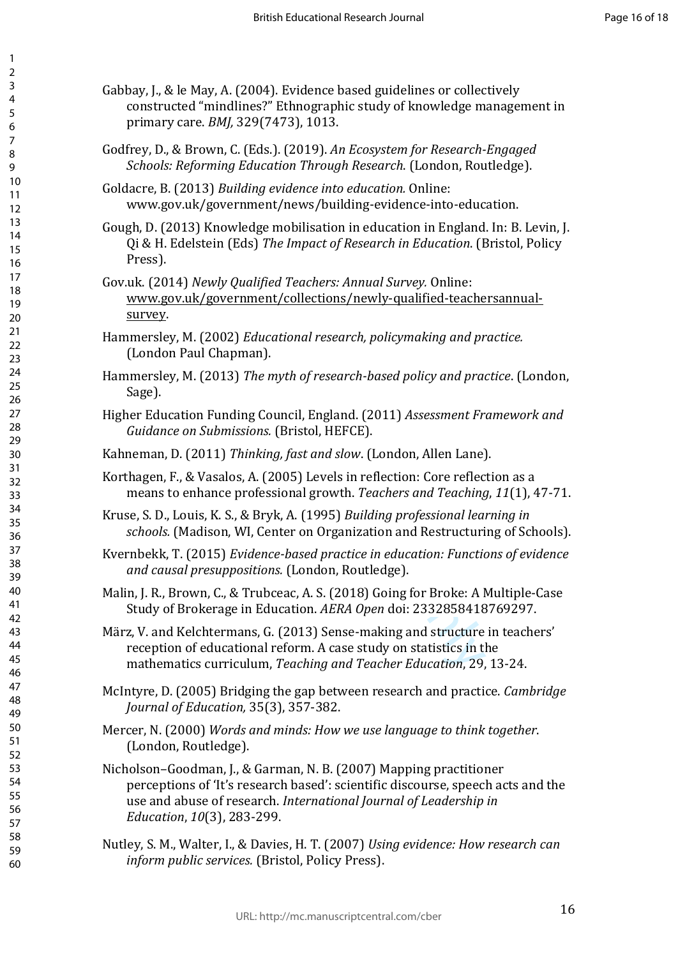$\mathbf{1}$  $\overline{2}$  $\overline{3}$ 4 5 6  $\overline{7}$ 8  $\overline{9}$ 

| Gabbay, J., & le May, A. (2004). Evidence based guidelines or collectively<br>constructed "mindlines?" Ethnographic study of knowledge management in<br>primary care. BMJ, 329(7473), 1013.                                                                      |
|------------------------------------------------------------------------------------------------------------------------------------------------------------------------------------------------------------------------------------------------------------------|
| Godfrey, D., & Brown, C. (Eds.). (2019). An Ecosystem for Research-Engaged<br>Schools: Reforming Education Through Research. (London, Routledge).                                                                                                                |
| Goldacre, B. (2013) Building evidence into education. Online:<br>www.gov.uk/government/news/building-evidence-into-education.                                                                                                                                    |
| Gough, D. (2013) Knowledge mobilisation in education in England. In: B. Levin, J.<br>Qi & H. Edelstein (Eds) The Impact of Research in Education. (Bristol, Policy<br>Press).                                                                                    |
| Gov.uk. (2014) Newly Qualified Teachers: Annual Survey. Online:<br>www.gov.uk/government/collections/newly-qualified-teachersannual-<br>survey.                                                                                                                  |
| Hammersley, M. (2002) Educational research, policymaking and practice.<br>(London Paul Chapman).                                                                                                                                                                 |
| Hammersley, M. (2013) The myth of research-based policy and practice. (London,<br>Sage).                                                                                                                                                                         |
| Higher Education Funding Council, England. (2011) Assessment Framework and<br>Guidance on Submissions. (Bristol, HEFCE).                                                                                                                                         |
| Kahneman, D. (2011) Thinking, fast and slow. (London, Allen Lane).                                                                                                                                                                                               |
| Korthagen, F., & Vasalos, A. (2005) Levels in reflection: Core reflection as a<br>means to enhance professional growth. Teachers and Teaching, 11(1), 47-71.                                                                                                     |
| Kruse, S. D., Louis, K. S., & Bryk, A. (1995) Building professional learning in<br>schools. (Madison, WI, Center on Organization and Restructuring of Schools).                                                                                                  |
| Kvernbekk, T. (2015) Evidence-based practice in education: Functions of evidence<br>and causal presuppositions. (London, Routledge).                                                                                                                             |
| Malin, J. R., Brown, C., & Trubceac, A. S. (2018) Going for Broke: A Multiple-Case<br>Study of Brokerage in Education. AERA Open doi: 2332858418769297.                                                                                                          |
| März, V. and Kelchtermans, G. (2013) Sense-making and structure in teachers'<br>reception of educational reform. A case study on statistics in the<br>mathematics curriculum, Teaching and Teacher Education, 29, 13-24.                                         |
| McIntyre, D. (2005) Bridging the gap between research and practice. Cambridge<br>Journal of Education, 35(3), 357-382.                                                                                                                                           |
| Mercer, N. (2000) Words and minds: How we use language to think together.<br>(London, Routledge).                                                                                                                                                                |
| Nicholson-Goodman, J., & Garman, N. B. (2007) Mapping practitioner<br>perceptions of 'It's research based': scientific discourse, speech acts and the<br>use and abuse of research. International Journal of Leadership in<br><i>Education, 10</i> (3), 283-299. |
| Nutley, S. M., Walter, I., & Davies, H. T. (2007) Using evidence: How research can<br>inform public services. (Bristol, Policy Press).                                                                                                                           |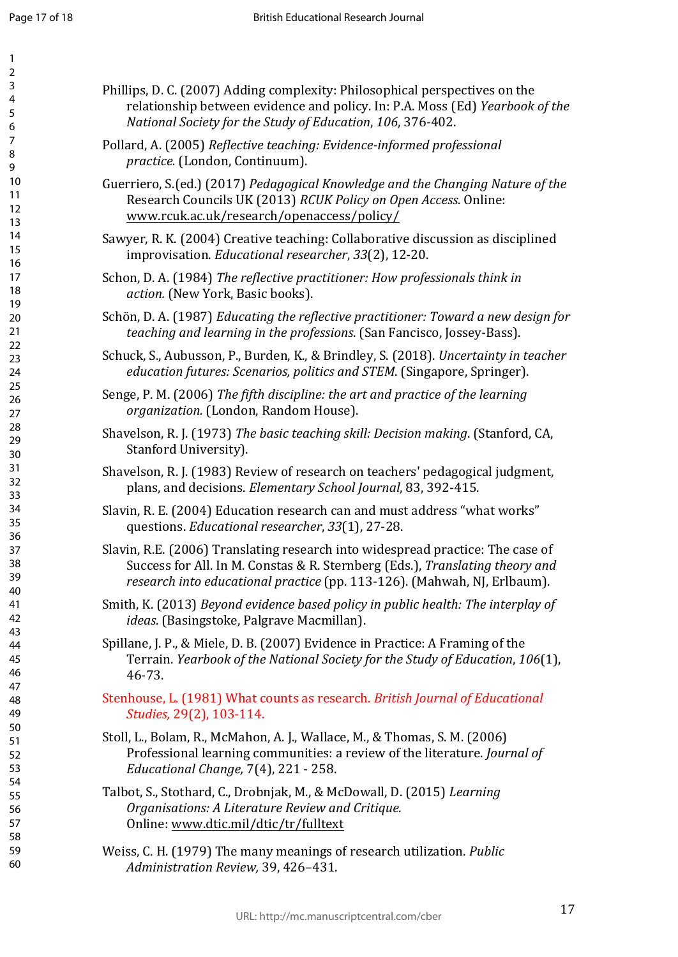| 1<br>$\overline{2}$<br>3<br>4<br>5<br>6<br>7<br>8<br>9<br>10<br>11<br>$\overline{12}$<br>13<br>$\overline{14}$<br>15<br>16<br>$\frac{1}{2}$<br>18<br>19<br>20<br>$\overline{21}$<br>22<br>23<br>24<br>25<br>26<br>27<br>28<br>29<br>30<br>31<br>32<br>33 |  |
|----------------------------------------------------------------------------------------------------------------------------------------------------------------------------------------------------------------------------------------------------------|--|
| 34<br>35<br>$\frac{36}{5}$<br>37<br>38<br>39<br>40<br>41<br>42<br>43<br>44                                                                                                                                                                               |  |
| 45<br>46<br>47<br>48<br>49<br>50<br>51<br>52<br>53<br>54<br>55                                                                                                                                                                                           |  |
| 56<br>57<br>58<br>59<br>60                                                                                                                                                                                                                               |  |

| Phillips, D. C. (2007) Adding complexity: Philosophical perspectives on the  |
|------------------------------------------------------------------------------|
| relationship between evidence and policy. In: P.A. Moss (Ed) Yearbook of the |
| National Society for the Study of Education, 106, 376-402.                   |

- Pollard, A. (2005) *Reflective teaching: Evidence-informed professional practice.* (London, Continuum).
- Guerriero, S.(ed.) (2017) *Pedagogical Knowledge and the Changing Nature of the*  Research Councils UK (2013) *RCUK Policy on Open Access.* Online: [www.rcuk.ac.uk/research/openaccess/policy/](http://www.rcuk.ac.uk/research/openaccess/policy/)
- Sawyer, R. K. (2004) Creative teaching: Collaborative discussion as disciplined improvisation. *Educational researcher*, *33*(2), 12-20.
- Schon, D. A. (1984) *The reflective practitioner: How professionals think in action.* (New York, Basic books).
- Schön, D. A. (1987) *Educating the reflective practitioner: Toward a new design for teaching and learning in the professions*. (San Fancisco, Jossey-Bass).
- Schuck, S., Aubusson, P., Burden, K., & Brindley, S. (2018). *Uncertainty in teacher education futures: Scenarios, politics and STEM*. (Singapore, Springer).
- Senge, P. M. (2006) *The fifth discipline: the art and practice of the learning organization.* (London, Random House).
- Shavelson, R. J. (1973) *The basic teaching skill: Decision making*. (Stanford, CA, Stanford University).
- Shavelson, R. J. (1983) Review of research on teachers' pedagogical judgment, plans, and decisions. *Elementary School Journal*, 83, 392-415.
- Slavin, R. E. (2004) Education research can and must address "what works" questions. *Educational researcher*, *33*(1), 27-28.
- 984) The reflective practitioner: How professionals the Work, Basic books).<br>
987) Educating the reflective practitioner: Toward a<br>
1987) Educating the reflective practitioner: Toward a<br>
1987) Educating in the professions. Slavin, R.E. (2006) Translating research into widespread practice: The case of Success for All. In M. Constas & R. Sternberg (Eds.), *Translating theory and research into educational practice* (pp. 113-126). (Mahwah, NJ, Erlbaum).
- Smith, K. (2013) *Beyond evidence based policy in public health: The interplay of ideas*. (Basingstoke, Palgrave Macmillan).
- Spillane, J. P., & Miele, D. B. (2007) Evidence in Practice: A Framing of the Terrain. *Yearbook of the National Society for the Study of Education*, *106*(1), 46-73.
- Stenhouse, L. (1981) What counts as research. *British Journal of Educational Studies,* 29(2), 103-114.
- Stoll, L., Bolam, R., McMahon, A. J., Wallace, M., & Thomas, S. M. (2006) Professional learning communities: a review of the literature. *Journal of Educational Change,* 7(4), 221 - 258.
- Talbot, S., Stothard, C., Drobnjak, M., & McDowall, D. (2015) *Learning Organisations: A Literature Review and Critique.*  Online: [www.dtic.mil/dtic/tr/fulltext](http://www.dtic.mil/dtic/tr/fulltext)
- Weiss, C. H. (1979) The many meanings of research utilization. *Public Administration Review,* 39, 426–431.